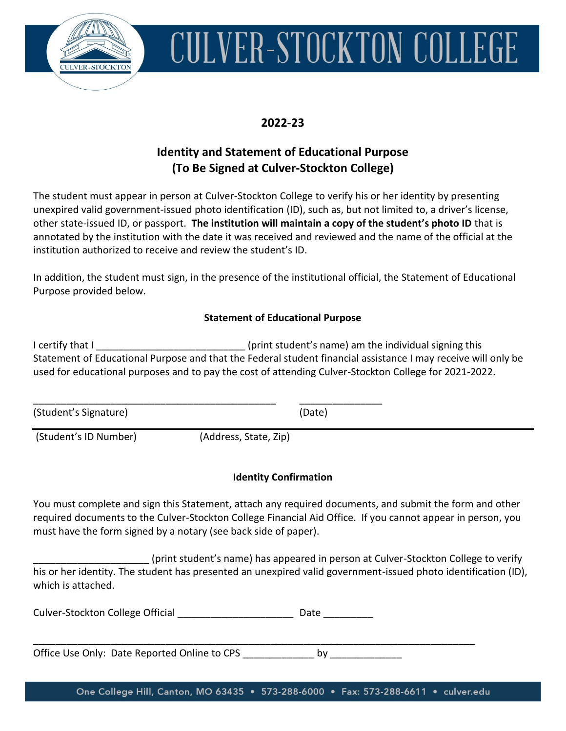

# CULVER-STOCKTON COLLEGE

## **2022-23**

## **Identity and Statement of Educational Purpose (To Be Signed at Culver-Stockton College)**

The student must appear in person at Culver-Stockton College to verify his or her identity by presenting unexpired valid government-issued photo identification (ID), such as, but not limited to, a driver's license, other state-issued ID, or passport. **The institution will maintain a copy of the student's photo ID** that is annotated by the institution with the date it was received and reviewed and the name of the official at the institution authorized to receive and review the student's ID.

In addition, the student must sign, in the presence of the institutional official, the Statement of Educational Purpose provided below.

#### **Statement of Educational Purpose**

I certify that I certify that I Statement of Educational Purpose and that the Federal student financial assistance I may receive will only be used for educational purposes and to pay the cost of attending Culver-Stockton College for 2021-2022.

(Student's Signature) (Date)

\_\_\_\_\_\_\_\_\_\_\_\_\_\_\_\_\_\_\_\_\_\_\_\_\_\_\_\_\_\_\_\_\_\_\_\_\_\_\_\_\_\_\_\_ \_\_\_\_\_\_\_\_\_\_\_\_\_\_\_

(Student's ID Number) (Address, State, Zip)

### **Identity Confirmation**

You must complete and sign this Statement, attach any required documents, and submit the form and other required documents to the Culver-Stockton College Financial Aid Office. If you cannot appear in person, you must have the form signed by a notary (see back side of paper).

(print student's name) has appeared in person at Culver-Stockton College to verify his or her identity. The student has presented an unexpired valid government-issued photo identification (ID), which is attached.

Culver-Stockton College Official **Exercise Stock Date** Date

**\_\_\_\_\_\_\_\_\_\_\_\_\_\_\_\_\_\_\_\_\_\_\_\_\_\_\_\_\_\_\_\_\_\_\_\_\_\_\_\_\_\_\_\_\_\_\_\_\_\_\_\_\_\_\_\_\_\_\_\_\_\_\_\_\_\_\_\_\_\_\_\_\_\_\_\_\_\_\_\_** Office Use Only: Date Reported Online to CPS by

One College Hill, Canton, MO 63435 . 573-288-6000 . Fax: 573-288-6611 . culver.edu